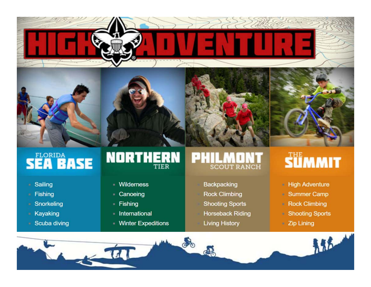

### **SEA BASE**

- Sailing
- Fishing
- Snorkeling
- Kayaking
- Scuba diving

#### **NORTHERN** TIER

- Wilderness
- Canoeing
- Fishing
- International
- Winter Expeditions

#### ÷, **SCOUT RANCH**

- **Backpacking**
- **Rock Climbing**
- **Shooting Sports**
- **Horseback Riding**
- **Living History**

### **SÜMMIT**

- High Adventure
- Summer Camp
- **Rock Climbing**
- Shooting Sports
- · Zip Lining

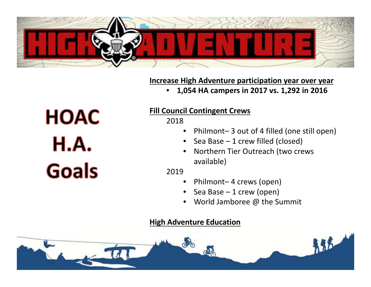

#### **Increase High Adventure participation year over year**

•**1,054 HA campers in 2017 vs. 1,292 in 2016**

**HOAC H.A. Goals** 

#### **Fill Council Contingent Crews**

2018

- Philmont– 3 out of 4 filled (one still open)
- Sea Base 1 crew filled (closed)
- $\bullet$ • Northern Tier Outreach (two crews available)

2019

- Philmont– 4 crews (open)
- Sea Base 1 crew (open)
- World Jamboree @ the Summit

#### **High Adventure Education**

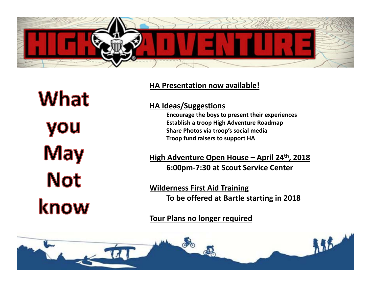

**What** you<br>May **Not** know

#### **HA Presentation now available!**

#### **HA Ideas/Suggestions**

**Encourage the boys to present their experiences Establish <sup>a</sup> troop High Adventure Roadmap Share Photos via troop's social media Troop fund raisers to support HA**

**High Adventure Open House – April 24th, 2018 6:00pm‐7:30 at Scout Service Center**

**Wilderness First Aid Training To be offered at Bartle starting in 2018**

**Tour Plans no longer required**

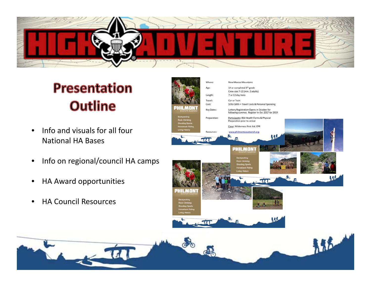

### **Presentation Outline**

- • $\bullet$  Info and visuals for all four National HA Bases
- •• Info on regional/council HA camps
- $\bullet$ HA Award opportunities
- $\bullet$ HA Council Resources



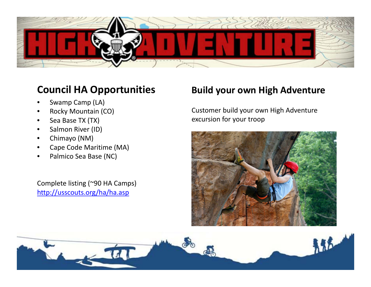

### **Council HA Opportunities**

- •Swamp Camp (LA)
- •Rocky Mountain (CO)
- •• Sea Base TX (TX)
- $\bullet$ • Salmon River (ID)
- •Chimayo (NM)
- •Cape Code Maritime (MA)
- $\bullet$ Palmico Sea Base (NC)

Complete listing (~90 HA Camps) http://usscouts.org/ha/ha.asp

#### **Build your own High Adventure**

Customer build your own High Adventure excursion for your troop



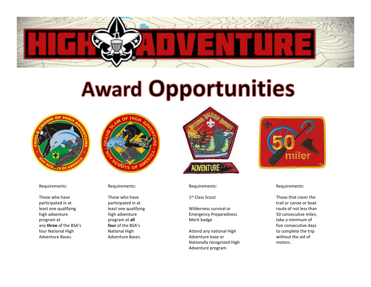

# **Award Opportunities**





Requirements:

Those who have participated in at least one qualifying high adventure program at any **three** of the BSA's four National High Adventure Bases.

#### Requirements:

Those who have participated in at least one qualifying high adventure program at **all four** of the BSA's National High Adventure Bases.



Requirements:

1<sup>st</sup> Class Scout

Wilderness survival or Emergency Preparedness Merit badge

Attend any national High Adventure base or Nationally recognized High Adventure program



Requirements:

Those that cover the trail or canoe or boat route of not less than50 consecutive miles; take <sup>a</sup> minimum of five consecutive days to complete the trip without the aid of motors.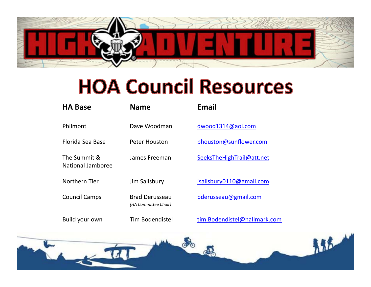

### **HOA Council Resources**

| <b>HA Base</b>                           | <b>Name</b>                                   | <b>Email</b>                 |
|------------------------------------------|-----------------------------------------------|------------------------------|
| Philmont                                 | Dave Woodman                                  | dwood1314@aol.com            |
| Florida Sea Base                         | Peter Houston                                 | phouston@sunflower.com       |
| The Summit &<br><b>National Jamboree</b> | James Freeman                                 | SeeksTheHighTrail@att.net    |
| Northern Tier                            | <b>Jim Salisbury</b>                          | jsalisbury0110@gmail.com     |
| <b>Council Camps</b>                     | <b>Brad Derusseau</b><br>(HA Committee Chair) | bderusseau@gmail.com         |
| Build your own                           | <b>Tim Bodendistel</b>                        | tim.Bodendistel@hallmark.com |
|                                          |                                               |                              |